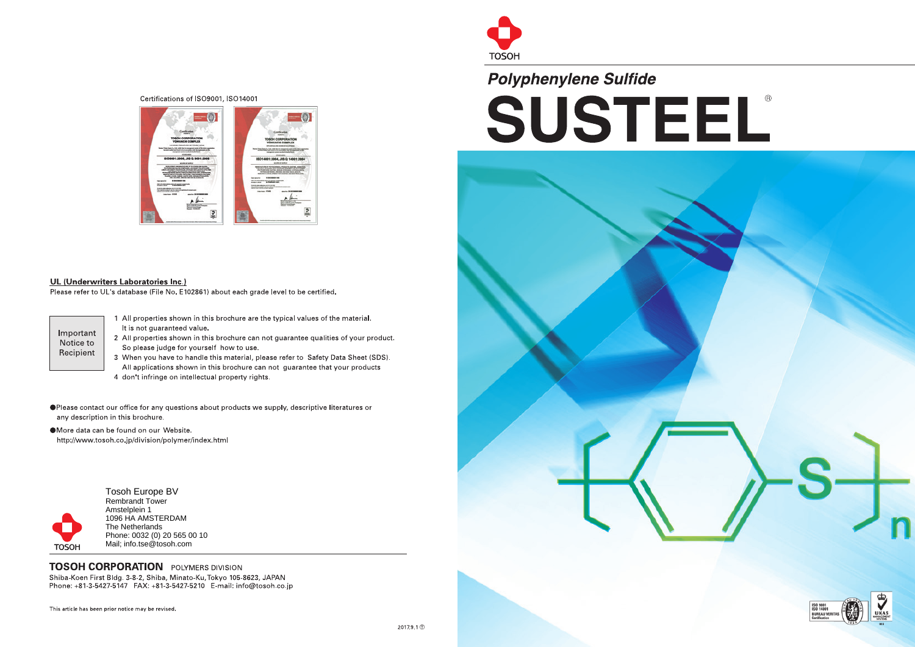#### Certifications of ISO9001, ISO14001



#### UL (Underwriters Laboratories Inc.)

Please refer to UL's database (File No. E102861) about each grade level to be certified.

Important Notice to Recipient

- 1 All properties shown in this brochure are the typical values of the material. It is not guaranteed value.
- 2 All properties shown in this brochure can not guarantee qualities of your product. So please judge for yourself how to use.
- 3 When you have to handle this material, please refer to Safety Data Sheet (SDS). All applications shown in this brochure can not guarantee that your products
- 4 don't infringe on intellectual property rights.
- ا●<br>: Please contact our office for any questions about products we supply, descriptive literatures or any description in this brochure.
- •<br>|<br>| More data can be found on our Website. http://www.tosoh.co.jp/division/polymer/index.html





# TOSOH<br>Polyp Polyphenylene Sulfide SUSTEEL





Tosoh Europe BV Rembrandt Tower Amstelplein 1 1096 HA AMSTERDAM The Netherlands Phone: 0032 (0) 20 565 00 10 Mail; info.tse@tosoh.com

### **TOSOH CORPORATION** POLYMERS DIVISION

Shiba-Koen First Bldg. 3-8-2, Shiba, Minato-Ku, Tokyo 105-8623, JAPAN<br>Phone: +81-3-5427-5147 FAX: +81-3-5427-5210 E-mail: info@tosoh.co.jp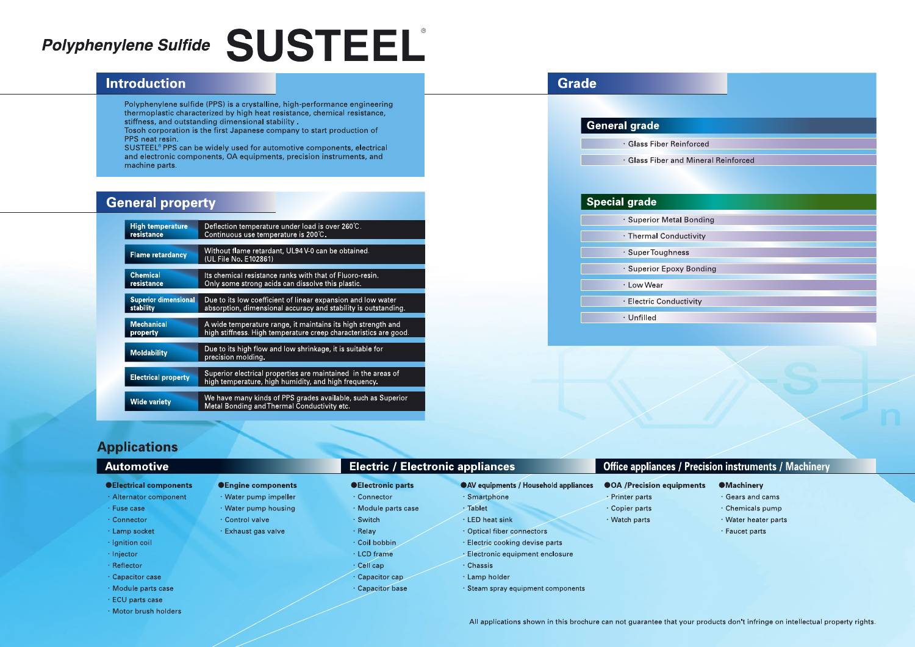# Polyphenylene Sulfide SUSTEEL

## Introduction

Polyphenylene sulfide (PPS) is a crystalline, high-performance engineering thermoplastic characterized by high heat resistance, chemical resistance, stiffness, and outstanding dimensional stability .

Tosoh corporation is the first Japanese company to start production of PPS neat resin.

SUSTEEL® PPS can be widely used for automotive components, electrical and electronic components, OA equipments, precision instruments, and machine parts.

# **General property**

# **General grade**  $\cdot$  Glass Fiber Reinforce  $\cdot$  Glass Fiber and N **Special grade**  $\cdot$  Superior Metal B  $\cdot$  Thermal Conduct SuperToughness  $\cdot$  Superior Epoxy B LowWear  $\cdot$  Electric Conductiv Unfilled

**•Engine components** • Water pump impeller • Water pump housing

- Connector
- 
- Module parts case
- Switch
- Relay • Coil bobbin
- LCD frame
- · Cell cap
- Capacitor cap
- · Capacitor base

| <b>High temperature</b>     | Deflection temperature under load is over 260°C.                                                                      |
|-----------------------------|-----------------------------------------------------------------------------------------------------------------------|
| resistance                  | Continuous use temperature is 200°C.                                                                                  |
| <b>Flame retardancy</b>     | Without flame retardant, UL94 V-0 can be obtained.<br>(UL File No. E102861)                                           |
| <b>Chemical</b>             | Its chemical resistance ranks with that of Fluoro-resin.                                                              |
| resistance                  | Only some strong acids can dissolve this plastic.                                                                     |
| <b>Superior dimensional</b> | Due to its low coefficient of linear expansion and low water                                                          |
| stability                   | absorption, dimensional accuracy and stability is outstanding.                                                        |
| <b>Mechanical</b>           | A wide temperature range, it maintains its high strength and                                                          |
| property                    | high stiffness. High temperature creep characteristics are good.                                                      |
| <b>Moldability</b>          | Due to its high flow and low shrinkage, it is suitable for<br>precision molding.                                      |
| <b>Electrical property</b>  | Superior electrical properties are maintained in the areas of<br>high temperature, high humidity, and high frequency. |
| <b>Wide variety</b>         | We have many kinds of PPS grades available, such as Superior<br>Metal Bonding and Thermal Conductivity etc.           |

- $\cdot$  Gears and cams
- $\cdot$  Chemicals pump
- Water heater parts
- <sup>ÿ</sup> Faucet parts

# Applications

#### •Electrical components

- Alternator component
- Fuse case
- Connector
- Lamp socket
- Ignition coil
- Injector
- Reflector
- Capacitor case
- Module parts case
- ECU parts case
- Motor brush holders

## Automotive **Electric / Electric / Electronic appliances**

### *<u>OElectronic parts</u>*

• Control valve • Exhaust gas valve

## ÿAV equipments / Household appliances

- Smartphone
- Tablet
- LED heat sink
- Optical fiber connectors
- Electric cooking devise parts
- Electronic equipment enclosure
- Chassis
- Lamp holder
- Steam spray equipment components

- OA / Precision equipments
- Printer parts
- <sup>ÿ</sup> Copier parts
- $\cdot$  Watch parts
- 
- 
- 
- 
- 
- -

**Grade** 

| orced                     |  |
|---------------------------|--|
| <b>Mineral Reinforced</b> |  |
|                           |  |
|                           |  |
|                           |  |
| onding                    |  |
| ivity                     |  |
|                           |  |
| onding                    |  |
|                           |  |
| vity                      |  |
|                           |  |
|                           |  |
|                           |  |
|                           |  |
|                           |  |
|                           |  |

## **Office appliances / Precision instruments / Machinery**

#### **OMachinery**

All applications shown in this brochure can not guarantee that your products don't infringe on intellectual property rights.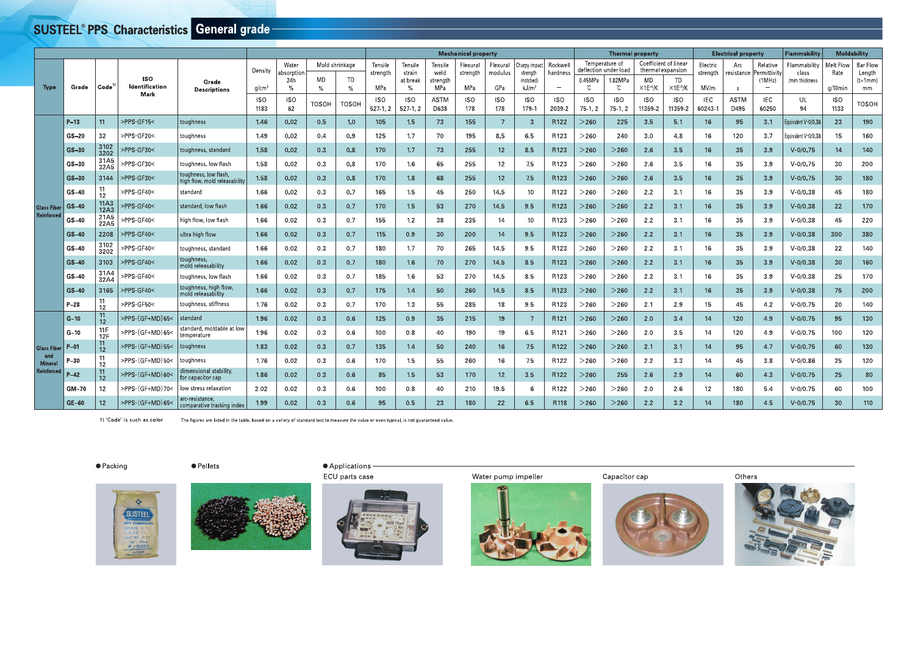# SUSTEEL® PPS Characteristics General grade-

|                                    |                        |                                                              |                                                                                    | <b>SUSTEEL<sup>®</sup> PPS Characteristics General grade</b>                                                                                                 |                                             |                                                        |                            |                                              |                                                        |                                                                   |                                                           | <b>Mechanical property</b>                       |                                                 |                                                                                    |                                                                                 |                                          | <b>Thermal property</b><br>Temperature of                         | Coefficient of linear                                                   |                                                             |                                                       | <b>Electrical property</b>                    |                                                                                      | <b>Flammability</b>                                |                                                    | <b>Moldability</b>                                                     |
|------------------------------------|------------------------|--------------------------------------------------------------|------------------------------------------------------------------------------------|--------------------------------------------------------------------------------------------------------------------------------------------------------------|---------------------------------------------|--------------------------------------------------------|----------------------------|----------------------------------------------|--------------------------------------------------------|-------------------------------------------------------------------|-----------------------------------------------------------|--------------------------------------------------|-------------------------------------------------|------------------------------------------------------------------------------------|---------------------------------------------------------------------------------|------------------------------------------|-------------------------------------------------------------------|-------------------------------------------------------------------------|-------------------------------------------------------------|-------------------------------------------------------|-----------------------------------------------|--------------------------------------------------------------------------------------|----------------------------------------------------|----------------------------------------------------|------------------------------------------------------------------------|
| <b>Type</b>                        | Grade                  | Code <sup>'</sup>                                            | <b>ISO</b><br><b>Identification</b><br><b>Mark</b>                                 | Grade<br><b>Descriptions</b>                                                                                                                                 | Density<br>$g/cm^{3}$<br><b>ISO</b><br>1183 | Water<br>absorption<br>24h<br>$\%$<br><b>ISO</b><br>62 | MD<br>$\%$<br><b>TOSOH</b> | Mold shrinkage<br>TD<br>$\%$<br><b>TOSOH</b> | Tensile<br>strength<br>MPa<br><b>ISO</b><br>$527-1, 2$ | Tensile<br>strain<br>at break<br>$\%$<br><b>ISO</b><br>$527-1, 2$ | Tensile<br>weld<br>strength<br>MPa<br><b>ASTM</b><br>D638 | Flexural<br>strength<br>MPa<br><b>ISO</b><br>178 | Flexural<br>modulus<br>GPa<br><b>ISO</b><br>178 | Charpy impact<br>strength<br>(notched)<br>kJ/m <sup>2</sup><br><b>ISO</b><br>179-1 | Rockwell<br>hardness<br>$\hspace{0.1mm}-\hspace{0.1mm}$<br><b>ISO</b><br>2039-2 | 0.45MPa<br>°C<br><b>ISO</b><br>$75-1, 2$ | deflection under load<br>1.82MPa<br>°C<br><b>ISO</b><br>$75-1, 2$ | thermal expansion<br>MD<br>$\times$ 1E- $5$ /K<br><b>ISO</b><br>11359-2 | TD<br>$\times$ 1E <sup>-5</sup> /K<br><b>ISO</b><br>11359-2 | Electric<br>strength<br>MV/m<br><b>IEC</b><br>60243-1 | Arc<br>resistance<br>S<br><b>ASTM</b><br>D495 | Relative<br>Permittivity<br>(MHz)<br>$\overline{\phantom{a}}$<br><b>IEC</b><br>60250 | Flammability<br>class<br>/mm thickness<br>UL<br>94 | Melt Flow<br>Rate<br>g/10min<br><b>ISO</b><br>1133 | <b>Bar Flow</b><br>Length<br>$(t=1mm)$<br>$\,$ mm $\,$<br><b>TOSOH</b> |
|                                    | $P-13$<br>$GS-20$      | 11<br>32                                                     | >PPS-GF15<<br>>PPS-GF20<                                                           | toughness<br>toughness                                                                                                                                       | 1.46<br>1.49                                | 0.02<br>0.02                                           | 0.5<br>0.4                 | 1.0<br>0.9                                   | 105<br>125                                             | 1.5<br>1.7                                                        | 73<br>70                                                  | 155<br>195                                       | $\overline{7}$<br>8.5                           | 3<br>6.5                                                                           | R122<br>R123                                                                    | $>$ 260 $\,$<br>>260                     | 225<br>240                                                        | 3.5<br>3.0                                                              | 5.1<br>4.8                                                  | 16<br>16                                              | 95<br>120                                     | 3.1<br>3.7                                                                           | Equivalent V-0/0.38<br>Equivalent V-0/0.38         | 23<br>15                                           | 190<br>160                                                             |
|                                    | GS-30<br>$GS-30$       | 3102<br>3202<br>31A5<br>32A5                                 | >PPS-GF30<<br>>PPS-GF30<                                                           | toughness, standard<br>toughness, low flash                                                                                                                  | 1.58<br>1.58                                | 0.02<br>0.02                                           | 0.3<br>0.3                 | 0.8<br>0.8                                   | 170<br>170                                             | 1.7<br>1.6                                                        | 73<br>65                                                  | 255<br>255                                       | 12<br>12                                        | 8.5<br>75                                                                          | R123<br>R123                                                                    | $>$ 260 $\,$<br>$>\!\!260$               | $>$ 260 $\,$<br>$>\!\!260$                                        | 2.6<br>2.6                                                              | 3.5<br>3.5                                                  | 16<br>16                                              | 35<br>35                                      | 3.9<br>3.9                                                                           | $V - 0/0.75$<br>$V - 0/0.75$                       | 14<br>30                                           | 140<br>200                                                             |
|                                    | GS-30<br>$GS-40$       | 3144                                                         | >PPS-GF30<<br>>PPS-GF40<                                                           | toughness, low flash,<br>high flow, mold releasability<br>standard                                                                                           | 1.58<br>1.66                                | 0.02<br>0.02                                           | 0.3<br>0.3                 | 0.8<br>0.7                                   | 170<br>165                                             | 1.8<br>1.5                                                        | 68<br>45                                                  | 255<br>250                                       | 12<br>14.5                                      | 7.5<br>10 <sub>1</sub>                                                             | R123<br>R123                                                                    | $>$ 260 $\,$<br>>260                     | $>$ 260 $\,$<br>>260                                              | 2.6<br>2.2                                                              | 3.5<br>3.1                                                  | 16<br>16                                              | 35<br>35                                      | 3.9<br>3.9                                                                           | $V - 0/0.75$<br>$V - 0/0.38$                       | 30 <sub>o</sub><br>45                              | 180<br>180                                                             |
| <b>Glass Fiber</b><br>Reinforced   | $GS-40$                | $\begin{array}{c} 11 \\ 12 \end{array}$<br>11A3<br>12A3      | >PPS-GF40<                                                                         | standard, low flash                                                                                                                                          | 1.66                                        | 0.02                                                   | 0.3                        | 0.7                                          | 170                                                    | 1.5                                                               | 53                                                        | 270                                              | 14.5                                            | 9.5                                                                                | R123                                                                            | $>$ 260 $\,$                             | $>$ 260 $\,$                                                      | 2.2                                                                     | 3.1                                                         | 16                                                    | 35                                            | 3.9                                                                                  | $V - 0/0.38$                                       | 22                                                 | 170                                                                    |
|                                    | GS-40<br>$GS-40$       | 21A5<br>22A5<br>2208                                         | >PPS-GF40<<br>>PPS-GF40<                                                           | high flow, low flash<br>ultra high flow                                                                                                                      | 1.66<br>1.66                                | 0.02<br>0.02                                           | 0.3<br>0.3                 | 0.7<br>0.7                                   | 155<br>115                                             | 1.2<br>0.9                                                        | 38<br>30 <sup>°</sup>                                     | 235<br>200                                       | 14<br>14                                        | 10<br>9.5                                                                          | R123<br>R123                                                                    | $>$ 260<br>$>$ 260 $\,$                  | $>$ 260 $\,$<br>$>$ 260 $\,$                                      | 2.2<br>2.2                                                              | 3.1<br>3.1                                                  | 16<br>16                                              | 35<br>35                                      | 3.9<br>3.9                                                                           | $V - 0/0.38$<br>$V - 0/0.38$                       | 45<br>300                                          | 220<br>380                                                             |
|                                    | $GS-40$<br>$GS-40$     | 3102<br>3202<br>3103                                         | >PPS-GF40<<br>>PPS-GF40<                                                           | toughness, standard<br>  toughness,<br>  mold releasability                                                                                                  | 1.66<br>1.66                                | 0.02<br>0.02                                           | 0.3<br>0.3                 | 0.7<br>0.7                                   | 180<br>180                                             | 1.7<br>1.6                                                        | 70<br>70                                                  | 265<br>270                                       | 14.5<br>14.5                                    | 9.5<br>8.5                                                                         | R123<br>R123                                                                    | $>\!\!260$<br>$>$ 260 $\,$               | $>\!\!260$<br>$>\!\!260$                                          | 2.2<br>2.2                                                              | 3.1<br>3.1                                                  | 16<br>16                                              | 35<br>35                                      | 3.9<br>3.9                                                                           | $V - 0/0.38$<br>$V - 0/0.38$                       | 22<br>30 <sup>°</sup>                              | 140<br>160                                                             |
|                                    | $GS-40$<br>$GS-40$     | 31A4<br>32A4<br>3165                                         | >PPS-GF40<<br>>PPS-GF40<                                                           | toughness, low flash                                                                                                                                         | 1.66<br>1.66                                | 0.02<br>0.02                                           | 0.3<br>0.3                 | 0.7<br>0.7                                   | 185<br>175                                             | 1.6<br>1.4                                                        | 53<br>50                                                  | 270<br>260                                       | 14.5<br>14.5                                    | 8.5<br>8.5                                                                         | R123<br>R123                                                                    | $>\!\!260$<br>$>$ 260 $\,$               | $>$ 260<br>$>\!\!260$                                             | 2.2<br>2.2                                                              | 3.1<br>3.1                                                  | 16<br>16                                              | 35<br>35                                      | 3.9<br>3.9                                                                           | $V - 0/0.38$<br>$V - 0/0.38$                       | 25<br>75                                           | 170<br>200                                                             |
|                                    | $P-28$                 | 11 <sup>1</sup><br>$12 \overline{ }$                         | >PPS-GF50<                                                                         | toughness, high flow,<br>mold releasability<br>toughness, stiffness                                                                                          | 1.76                                        | 0.02                                                   | 0.3                        | 0.7                                          | 170                                                    | 1.3                                                               | 55                                                        | 285                                              | 18                                              | 9.5                                                                                | R123                                                                            | $>\!\!260$                               | $>$ 260 $\,$                                                      | 2.1                                                                     | 2.9                                                         | 15                                                    | 45                                            | 4.2                                                                                  | $V - 0/0.75$                                       | 20                                                 | 140                                                                    |
|                                    | $G-10$<br>$G-10$       | $\frac{11}{12}$<br>$\frac{11F}{12F}$                         | >PPS-(GF+MD)65<<br>>PPS-(GF+MD)65<                                                 | standard<br>standard, moldable at low<br>temperature                                                                                                         | 1.96<br>1.96                                | 0.02<br>0.02                                           | 0.3<br>0.3                 | 0.6<br>0.6                                   | 125<br>100                                             | 0.9<br>0.8                                                        | 35<br>40                                                  | 215<br>190                                       | 19<br>19                                        | 6.5                                                                                | R <sub>121</sub><br>R121                                                        | $>$ 260 $\,$<br>>260                     | $>$ 260 $\,$<br>$>\!\!260$                                        | 2.0<br>2.0                                                              | 3.4<br>3.5                                                  | 14<br>14                                              | 120<br>120                                    | 4.9<br>4.9                                                                           | $V - 0/0.75$<br>$V - 0/0.75$                       | 95<br>100                                          | 130<br>120                                                             |
| Glass Fiber P-01<br>and<br>Mineral | $P-30$                 | 11<br>12<br>$\begin{array}{c} 11 \\ 12 \end{array}$          | >PPS-(GF+MD)55<<br>>PPS-(GF+MD)50<                                                 | toughness<br>toughness                                                                                                                                       | 1.83<br>1.76                                | 0.02<br>0.02                                           | 0.3<br>0.3                 | 0.7<br>0.6                                   | 135<br>170                                             | 1.4<br>1.5                                                        | 50<br>55                                                  | 240<br>260                                       | 16<br>16                                        | 7.5<br>7.5                                                                         | R122<br>R122                                                                    | $>260$<br>$>\!\!260$                     | $>$ 260 $\,$<br>$>$ 260 $\,$                                      | 2.1<br>2.2                                                              | 3.1<br>3.3                                                  | 14<br>14                                              | 95<br>45                                      | 4.7<br>3.8                                                                           | $V - 0/0.75$<br>$V - 0/0.86$                       | 60<br>25                                           | 130<br>120                                                             |
| Reinforced                         | $P-42$<br><b>GM-70</b> | $\begin{array}{c} 11 \\ 12 \end{array}$<br>$12 \overline{ }$ | >PPS-(GF+MD)60<<br>>PPS-(GF+MD)70<                                                 | dimensional stability,<br>for capacitor cap<br>low stress relaxation                                                                                         | 1.86<br>2.02                                | 0.02<br>0.02                                           | 0.3<br>0.3                 | 0.6<br>0.6                                   | 85<br>100                                              | 1.5<br>0.8                                                        | 53<br>40                                                  | 170<br>210                                       | 12<br>19.5                                      | 3.5<br>6                                                                           | R <sub>122</sub><br>R122                                                        | $>\!\!260$<br>$>\!\!260$                 | 255<br>$>\!\!260$                                                 | 2.6<br>2.0                                                              | 2.9<br>2.6                                                  | 14<br>12                                              | 60<br>180                                     | 4.3<br>5.4                                                                           | $V - 0/0.75$<br>$V - 0/0.75$                       | 25<br>60                                           | 80<br>100                                                              |
|                                    | $GE-60$                | 12                                                           | >PPS-(GF+MD)65<                                                                    | arc-resistance,<br>comparative tracking index                                                                                                                | 1.99                                        | 0.02                                                   | 0.3                        | 0.6                                          | 95                                                     | 0.5                                                               | 23                                                        | 180                                              | 22                                              | 6.5                                                                                | R118                                                                            | $>$ 260 $\,$                             | $>$ 260 $\,$                                                      | 2.2                                                                     | 3.2                                                         | 14                                                    | 180                                           | 4.5                                                                                  | $V - 0/0.75$                                       | 30 <sup>°</sup>                                    | 110                                                                    |
|                                    |                        | ● Packing                                                    | 1) Code is such as color<br><b>SUSTEE</b><br>PPS COMPOUND<br>GRADE 1-11<br>CODE IT | The figures are listed in the table, based on a variety of standard test to measure the value or even typical, is not guaranteed value.<br>$\bullet$ Pellets |                                             |                                                        |                            | • Applications<br>ECU parts case             |                                                        |                                                                   |                                                           |                                                  | Water pump impeller                             |                                                                                    |                                                                                 |                                          | Capacitor cap                                                     |                                                                         |                                                             |                                                       | Others                                        |                                                                                      |                                                    |                                                    |                                                                        |
|                                    |                        |                                                              |                                                                                    |                                                                                                                                                              |                                             |                                                        |                            |                                              |                                                        |                                                                   |                                                           |                                                  |                                                 |                                                                                    |                                                                                 |                                          |                                                                   |                                                                         |                                                             |                                                       |                                               |                                                                                      |                                                    |                                                    |                                                                        |